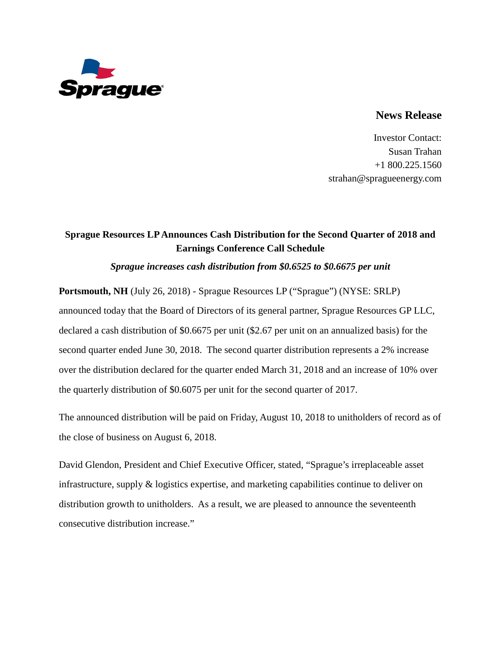

## **News Release**

Investor Contact: Susan Trahan +1 800.225.1560 strahan@spragueenergy.com

## **Sprague Resources LP Announces Cash Distribution for the Second Quarter of 2018 and Earnings Conference Call Schedule**

## *Sprague increases cash distribution from \$0.6525 to \$0.6675 per unit*

**Portsmouth, NH** (July 26, 2018) - Sprague Resources LP ("Sprague") (NYSE: SRLP) announced today that the Board of Directors of its general partner, Sprague Resources GP LLC, declared a cash distribution of \$0.6675 per unit (\$2.67 per unit on an annualized basis) for the second quarter ended June 30, 2018. The second quarter distribution represents a 2% increase over the distribution declared for the quarter ended March 31, 2018 and an increase of 10% over the quarterly distribution of \$0.6075 per unit for the second quarter of 2017.

The announced distribution will be paid on Friday, August 10, 2018 to unitholders of record as of the close of business on August 6, 2018.

David Glendon, President and Chief Executive Officer, stated, "Sprague's irreplaceable asset infrastructure, supply & logistics expertise, and marketing capabilities continue to deliver on distribution growth to unitholders. As a result, we are pleased to announce the seventeenth consecutive distribution increase."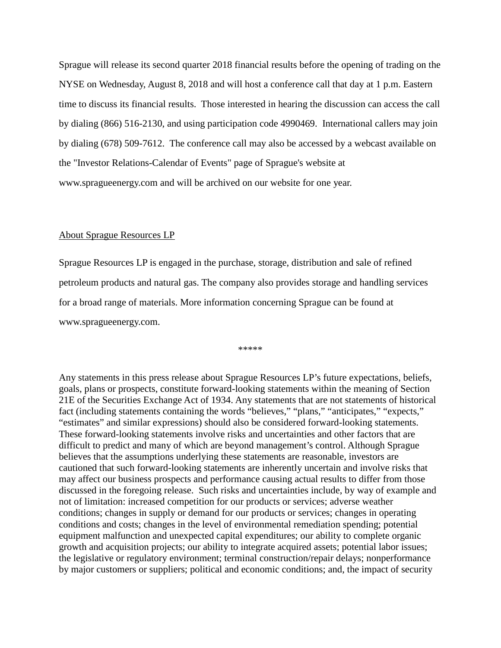Sprague will release its second quarter 2018 financial results before the opening of trading on the NYSE on Wednesday, August 8, 2018 and will host a conference call that day at 1 p.m. Eastern time to discuss its financial results. Those interested in hearing the discussion can access the call by dialing (866) 516-2130, and using participation code 4990469. International callers may join by dialing (678) 509-7612. The conference call may also be accessed by a webcast available on the "Investor Relations-Calendar of Events" page of Sprague's website at www.spragueenergy.com and will be archived on our website for one year.

## About Sprague Resources LP

Sprague Resources LP is engaged in the purchase, storage, distribution and sale of refined petroleum products and natural gas. The company also provides storage and handling services for a broad range of materials. More information concerning Sprague can be found at www.spragueenergy.com.

\*\*\*\*\*

Any statements in this press release about Sprague Resources LP's future expectations, beliefs, goals, plans or prospects, constitute forward-looking statements within the meaning of Section 21E of the Securities Exchange Act of 1934. Any statements that are not statements of historical fact (including statements containing the words "believes," "plans," "anticipates," "expects," "estimates" and similar expressions) should also be considered forward-looking statements. These forward-looking statements involve risks and uncertainties and other factors that are difficult to predict and many of which are beyond management's control. Although Sprague believes that the assumptions underlying these statements are reasonable, investors are cautioned that such forward-looking statements are inherently uncertain and involve risks that may affect our business prospects and performance causing actual results to differ from those discussed in the foregoing release. Such risks and uncertainties include, by way of example and not of limitation: increased competition for our products or services; adverse weather conditions; changes in supply or demand for our products or services; changes in operating conditions and costs; changes in the level of environmental remediation spending; potential equipment malfunction and unexpected capital expenditures; our ability to complete organic growth and acquisition projects; our ability to integrate acquired assets; potential labor issues; the legislative or regulatory environment; terminal construction/repair delays; nonperformance by major customers or suppliers; political and economic conditions; and, the impact of security